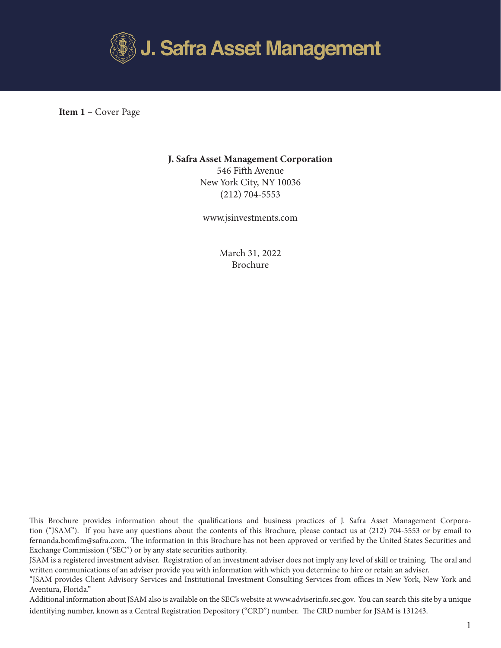

 Item 1 – Cover Page

## J. Safra Asset Management Corporation

546 Fifth Avenue New York City, NY 10036 (212) 704-5553

www.jsinvestments.com

March 31, 2022 Brochure

This Brochure provides information about the qualifications and business practices of J. Safra Asset Management Corporation ("JSAM"). If you have any questions about the contents of this Brochure, please contact us at (212) 704-5553 or by email to fernanda.bomfim@safra.com. The information in this Brochure has not been approved or verified by the United States Securities and Exchange Commission ("SEC") or by any state securities authority.

JSAM is a registered investment adviser. Registration of an investment adviser does not imply any level of skill or training. The oral and written communications of an adviser provide you with information with which you determine to hire or retain an adviser.

"JSAM provides Client Advisory Services and Institutional Investment Consulting Services from offices in New York, New York and Aventura, Florida."

Additional information about JSAM also is available on the SEC's website at www.adviserinfo.sec.gov. You can search this site by a unique identifying number, known as a Central Registration Depository ("CRD") number. The CRD number for JSAM is 131243.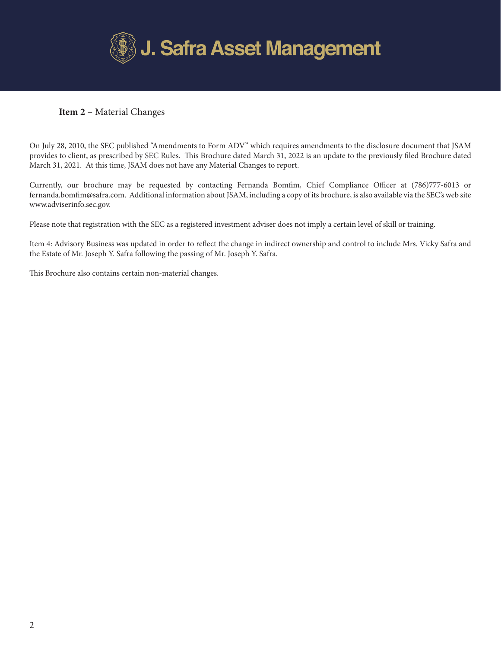

# Item 2 – Material Changes

On July 28, 2010, the SEC published "Amendments to Form ADV" which requires amendments to the disclosure document that JSAM provides to client, as prescribed by SEC Rules. This Brochure dated March 31, 2022 is an update to the previously filed Brochure dated March 31, 2021. At this time, JSAM does not have any Material Changes to report.

Currently, our brochure may be requested by contacting Fernanda Bomfim, Chief Compliance Officer at (786)777-6013 or fernanda.bomfim@safra.com. Additional information about JSAM, including a copy of its brochure, is also available via the SEC's web site www.adviserinfo.sec.gov.

Please note that registration with the SEC as a registered investment adviser does not imply a certain level of skill or training.

Item 4: Advisory Business was updated in order to reflect the change in indirect ownership and control to include Mrs. Vicky Safra and the Estate of Mr. Joseph Y. Safra following the passing of Mr. Joseph Y. Safra.

This Brochure also contains certain non-material changes.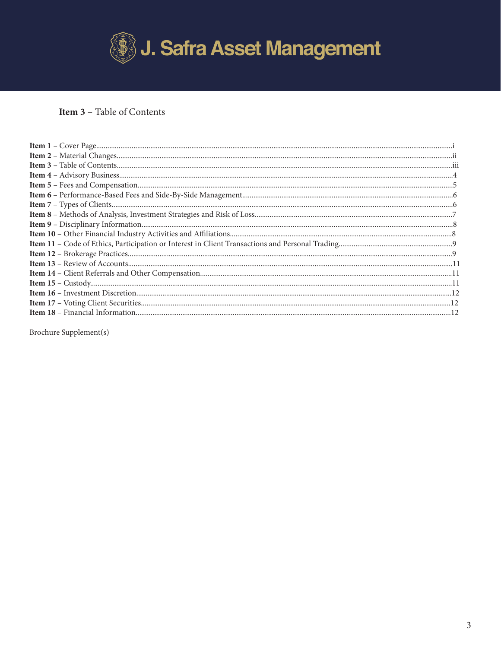

# **Item 3** - Table of Contents

Brochure Supplement(s)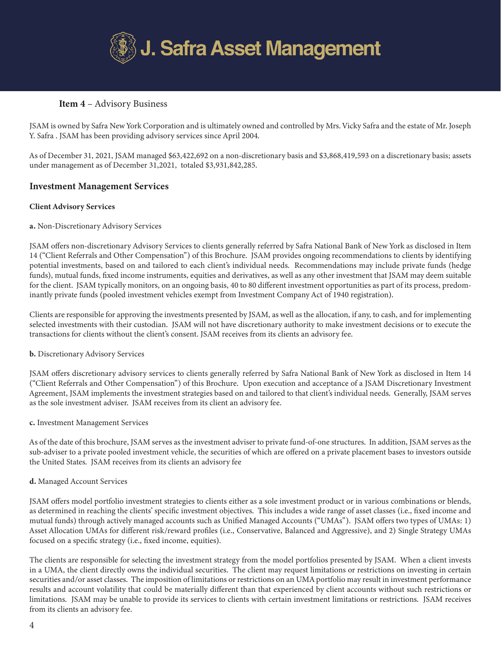

## Item 4 – Advisory Business

JSAM is owned by Safra New York Corporation and is ultimately owned and controlled by Mrs. Vicky Safra and the estate of Mr. Joseph Y. Safra . JSAM has been providing advisory services since April 2004.

As of December 31, 2021, JSAM managed \$63,422,692 on a non-discretionary basis and \$3,868,419,593 on a discretionary basis; assets under management as of December 31,2021, totaled \$3,931,842,285.

## Investment Management Services

## Client Advisory Services

## a. Non-Discretionary Advisory Services

JSAM offers non-discretionary Advisory Services to clients generally referred by Safra National Bank of New York as disclosed in Item 14 ("Client Referrals and Other Compensation") of this Brochure. JSAM provides ongoing recommendations to clients by identifying potential investments, based on and tailored to each client's individual needs. Recommendations may include private funds (hedge funds), mutual funds, fixed income instruments, equities and derivatives, as well as any other investment that JSAM may deem suitable for the client. JSAM typically monitors, on an ongoing basis, 40 to 80 different investment opportunities as part of its process, predominantly private funds (pooled investment vehicles exempt from Investment Company Act of 1940 registration).

Clients are responsible for approving the investments presented by JSAM, as well as the allocation, if any, to cash, and for implementing selected investments with their custodian. JSAM will not have discretionary authority to make investment decisions or to execute the transactions for clients without the client's consent. JSAM receives from its clients an advisory fee.

## b. Discretionary Advisory Services

JSAM offers discretionary advisory services to clients generally referred by Safra National Bank of New York as disclosed in Item 14 ("Client Referrals and Other Compensation") of this Brochure. Upon execution and acceptance of a JSAM Discretionary Investment Agreement, JSAM implements the investment strategies based on and tailored to that client's individual needs. Generally, JSAM serves as the sole investment adviser. JSAM receives from its client an advisory fee.

## c. Investment Management Services

As of the date of this brochure, JSAM serves as the investment adviser to private fund-of-one structures. In addition, JSAM serves as the sub-adviser to a private pooled investment vehicle, the securities of which are offered on a private placement bases to investors outside the United States. JSAM receives from its clients an advisory fee

## d. Managed Account Services

JSAM offers model portfolio investment strategies to clients either as a sole investment product or in various combinations or blends, as determined in reaching the clients' specific investment objectives. This includes a wide range of asset classes (i.e., fixed income and mutual funds) through actively managed accounts such as Unified Managed Accounts ("UMAs"). JSAM offers two types of UMAs: 1) Asset Allocation UMAs for different risk/reward profiles (i.e., Conservative, Balanced and Aggressive), and 2) Single Strategy UMAs focused on a specific strategy (i.e., fixed income, equities).

The clients are responsible for selecting the investment strategy from the model portfolios presented by JSAM. When a client invests in a UMA, the client directly owns the individual securities. The client may request limitations or restrictions on investing in certain securities and/or asset classes. The imposition of limitations or restrictions on an UMA portfolio may result in investment performance results and account volatility that could be materially different than that experienced by client accounts without such restrictions or limitations. JSAM may be unable to provide its services to clients with certain investment limitations or restrictions. JSAM receives from its clients an advisory fee.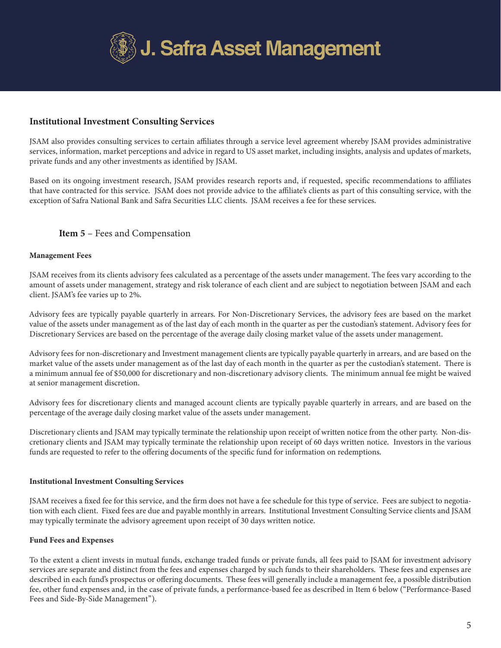

# Institutional Investment Consulting Services

JSAM also provides consulting services to certain affiliates through a service level agreement whereby JSAM provides administrative services, information, market perceptions and advice in regard to US asset market, including insights, analysis and updates of markets, private funds and any other investments as identified by JSAM.

Based on its ongoing investment research, JSAM provides research reports and, if requested, specific recommendations to affiliates that have contracted for this service. JSAM does not provide advice to the affiliate's clients as part of this consulting service, with the exception of Safra National Bank and Safra Securities LLC clients. JSAM receives a fee for these services.

## Item 5 – Fees and Compensation

## Management Fees

JSAM receives from its clients advisory fees calculated as a percentage of the assets under management. The fees vary according to the amount of assets under management, strategy and risk tolerance of each client and are subject to negotiation between JSAM and each client. JSAM's fee varies up to 2%.

Advisory fees are typically payable quarterly in arrears. For Non-Discretionary Services, the advisory fees are based on the market value of the assets under management as of the last day of each month in the quarter as per the custodian's statement. Advisory fees for Discretionary Services are based on the percentage of the average daily closing market value of the assets under management.

Advisory fees for non-discretionary and Investment management clients are typically payable quarterly in arrears, and are based on the market value of the assets under management as of the last day of each month in the quarter as per the custodian's statement. There is a minimum annual fee of \$50,000 for discretionary and non-discretionary advisory clients. The minimum annual fee might be waived at senior management discretion.

Advisory fees for discretionary clients and managed account clients are typically payable quarterly in arrears, and are based on the percentage of the average daily closing market value of the assets under management.

Discretionary clients and JSAM may typically terminate the relationship upon receipt of written notice from the other party. Non-discretionary clients and JSAM may typically terminate the relationship upon receipt of 60 days written notice. Investors in the various funds are requested to refer to the offering documents of the specific fund for information on redemptions.

## Institutional Investment Consulting Services

JSAM receives a fixed fee for this service, and the firm does not have a fee schedule for this type of service. Fees are subject to negotiation with each client. Fixed fees are due and payable monthly in arrears. Institutional Investment Consulting Service clients and JSAM may typically terminate the advisory agreement upon receipt of 30 days written notice.

## Fund Fees and Expenses

To the extent a client invests in mutual funds, exchange traded funds or private funds, all fees paid to JSAM for investment advisory services are separate and distinct from the fees and expenses charged by such funds to their shareholders. These fees and expenses are described in each fund's prospectus or offering documents. These fees will generally include a management fee, a possible distribution fee, other fund expenses and, in the case of private funds, a performance-based fee as described in Item 6 below ("Performance-Based Fees and Side-By-Side Management").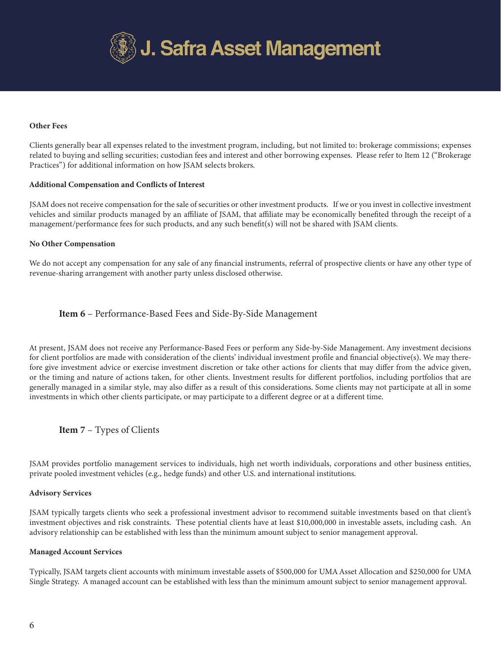

#### Other Fees

Clients generally bear all expenses related to the investment program, including, but not limited to: brokerage commissions; expenses related to buying and selling securities; custodian fees and interest and other borrowing expenses. Please refer to Item 12 ("Brokerage Practices") for additional information on how JSAM selects brokers.

#### Additional Compensation and Conflicts of Interest

JSAM does not receive compensation for the sale of securities or other investment products. If we or you invest in collective investment vehicles and similar products managed by an affiliate of JSAM, that affiliate may be economically benefited through the receipt of a management/performance fees for such products, and any such benefit(s) will not be shared with JSAM clients.

#### No Other Compensation

We do not accept any compensation for any sale of any financial instruments, referral of prospective clients or have any other type of revenue-sharing arrangement with another party unless disclosed otherwise.

## Item 6 – Performance-Based Fees and Side-By-Side Management

At present, JSAM does not receive any Performance-Based Fees or perform any Side-by-Side Management. Any investment decisions for client portfolios are made with consideration of the clients' individual investment profile and financial objective(s). We may therefore give investment advice or exercise investment discretion or take other actions for clients that may differ from the advice given, or the timing and nature of actions taken, for other clients. Investment results for different portfolios, including portfolios that are generally managed in a similar style, may also differ as a result of this considerations. Some clients may not participate at all in some investments in which other clients participate, or may participate to a different degree or at a different time.

## Item 7 – Types of Clients

JSAM provides portfolio management services to individuals, high net worth individuals, corporations and other business entities, private pooled investment vehicles (e.g., hedge funds) and other U.S. and international institutions.

#### Advisory Services

JSAM typically targets clients who seek a professional investment advisor to recommend suitable investments based on that client's investment objectives and risk constraints. These potential clients have at least \$10,000,000 in investable assets, including cash. An advisory relationship can be established with less than the minimum amount subject to senior management approval.

#### Managed Account Services

Typically, JSAM targets client accounts with minimum investable assets of \$500,000 for UMA Asset Allocation and \$250,000 for UMA Single Strategy. A managed account can be established with less than the minimum amount subject to senior management approval.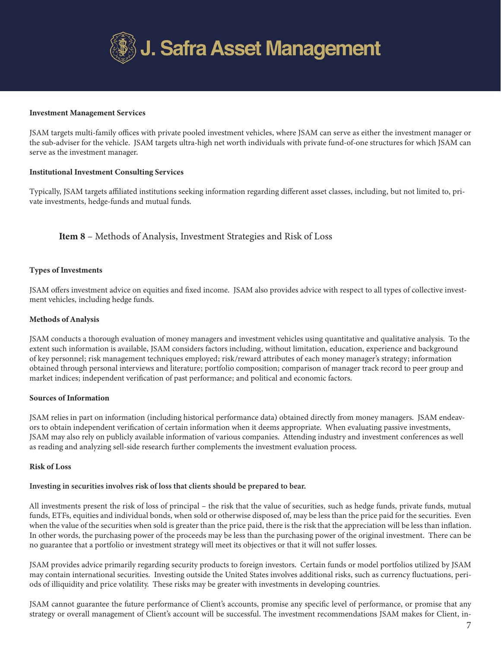

#### Investment Management Services

JSAM targets multi-family offices with private pooled investment vehicles, where JSAM can serve as either the investment manager or the sub-adviser for the vehicle. JSAM targets ultra-high net worth individuals with private fund-of-one structures for which JSAM can serve as the investment manager.

## Institutional Investment Consulting Services

Typically, JSAM targets affiliated institutions seeking information regarding different asset classes, including, but not limited to, private investments, hedge-funds and mutual funds.

 Item 8 – Methods of Analysis, Investment Strategies and Risk of Loss

## Types of Investments

JSAM offers investment advice on equities and fixed income. JSAM also provides advice with respect to all types of collective investment vehicles, including hedge funds.

#### Methods of Analysis

JSAM conducts a thorough evaluation of money managers and investment vehicles using quantitative and qualitative analysis. To the extent such information is available, JSAM considers factors including, without limitation, education, experience and background of key personnel; risk management techniques employed; risk/reward attributes of each money manager's strategy; information obtained through personal interviews and literature; portfolio composition; comparison of manager track record to peer group and market indices; independent verification of past performance; and political and economic factors.

#### Sources of Information

JSAM relies in part on information (including historical performance data) obtained directly from money managers. JSAM endeavors to obtain independent verification of certain information when it deems appropriate. When evaluating passive investments, JSAM may also rely on publicly available information of various companies. Attending industry and investment conferences as well as reading and analyzing sell-side research further complements the investment evaluation process.

#### Risk of Loss

#### Investing in securities involves risk of loss that clients should be prepared to bear.

All investments present the risk of loss of principal – the risk that the value of securities, such as hedge funds, private funds, mutual funds, ETFs, equities and individual bonds, when sold or otherwise disposed of, may be less than the price paid for the securities. Even when the value of the securities when sold is greater than the price paid, there is the risk that the appreciation will be less than inflation. In other words, the purchasing power of the proceeds may be less than the purchasing power of the original investment. There can be no guarantee that a portfolio or investment strategy will meet its objectives or that it will not suffer losses.

JSAM provides advice primarily regarding security products to foreign investors. Certain funds or model portfolios utilized by JSAM may contain international securities. Investing outside the United States involves additional risks, such as currency fluctuations, periods of illiquidity and price volatility. These risks may be greater with investments in developing countries.

JSAM cannot guarantee the future performance of Client's accounts, promise any specific level of performance, or promise that any strategy or overall management of Client's account will be successful. The investment recommendations JSAM makes for Client, in-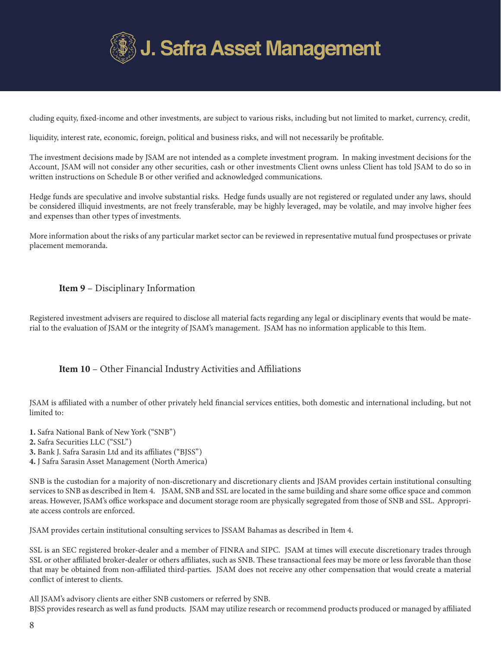

cluding equity, fixed-income and other investments, are subject to various risks, including but not limited to market, currency, credit,

liquidity, interest rate, economic, foreign, political and business risks, and will not necessarily be profitable.

The investment decisions made by JSAM are not intended as a complete investment program. In making investment decisions for the Account, JSAM will not consider any other securities, cash or other investments Client owns unless Client has told JSAM to do so in written instructions on Schedule B or other verified and acknowledged communications.

Hedge funds are speculative and involve substantial risks. Hedge funds usually are not registered or regulated under any laws, should be considered illiquid investments, are not freely transferable, may be highly leveraged, may be volatile, and may involve higher fees and expenses than other types of investments.

More information about the risks of any particular market sector can be reviewed in representative mutual fund prospectuses or private placement memoranda.

## Item 9 – Disciplinary Information

Registered investment advisers are required to disclose all material facts regarding any legal or disciplinary events that would be material to the evaluation of JSAM or the integrity of JSAM's management. JSAM has no information applicable to this Item.

# Item 10 – Other Financial Industry Activities and Affiliations

JSAM is affiliated with a number of other privately held financial services entities, both domestic and international including, but not limited to:

1. Safra National Bank of New York ("SNB")

2. Safra Securities LLC ("SSL")

3. Bank J. Safra Sarasin Ltd and its affiliates ("BJSS")

4. J Safra Sarasin Asset Management (North America)

SNB is the custodian for a majority of non-discretionary and discretionary clients and JSAM provides certain institutional consulting services to SNB as described in Item 4. JSAM, SNB and SSL are located in the same building and share some office space and common areas. However, JSAM's office workspace and document storage room are physically segregated from those of SNB and SSL. Appropriate access controls are enforced.

JSAM provides certain institutional consulting services to JSSAM Bahamas as described in Item 4.

SSL is an SEC registered broker-dealer and a member of FINRA and SIPC. JSAM at times will execute discretionary trades through SSL or other affiliated broker-dealer or others affiliates, such as SNB. These transactional fees may be more or less favorable than those that may be obtained from non-affiliated third-parties. JSAM does not receive any other compensation that would create a material conflict of interest to clients.

All JSAM's advisory clients are either SNB customers or referred by SNB. BJSS provides research as well as fund products. JSAM may utilize research or recommend products produced or managed by affiliated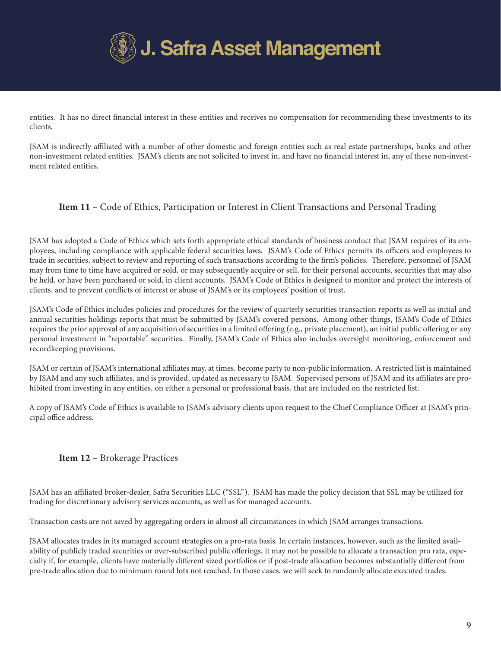

entities. It has no direct financial interest in these entities and receives no compensation for recommending these investments to its clients.

JSAM is indirectly affiliated with a number of other domestic and foreign entities such as real estate partnerships, banks and other non-investment related entities. JSAM's clients are not solicited to invest in, and have no financial interest in, any of these non-investment related entities.

# Item 11 – Code of Ethics, Participation or Interest in Client Transactions and Personal Trading

JSAM has adopted a Code of Ethics which sets forth appropriate ethical standards of business conduct that JSAM requires of its employees, including compliance with applicable federal securities laws. JSAM's Code of Ethics permits its officers and employees to trade in securities, subject to review and reporting of such transactions according to the firm's policies. Therefore, personnel of JSAM may from time to time have acquired or sold, or may subsequently acquire or sell, for their personal accounts, securities that may also be held, or have been purchased or sold, in client accounts. JSAM's Code of Ethics is designed to monitor and protect the interests of clients, and to prevent conflicts of interest or abuse of JSAM's or its employees' position of trust.

JSAM's Code of Ethics includes policies and procedures for the review of quarterly securities transaction reports as well as initial and annual securities holdings reports that must be submitted by JSAM's covered persons. Among other things, JSAM's Code of Ethics requires the prior approval of any acquisition of securities in a limited offering (e.g., private placement), an initial public offering or any personal investment in "reportable" securities. Finally, JSAM's Code of Ethics also includes oversight monitoring, enforcement and recordkeeping provisions.

JSAM or certain of JSAM's international affiliates may, at times, become party to non-public information. A restricted list is maintained by JSAM and any such affiliates, and is provided, updated as necessary to JSAM. Supervised persons of JSAM and its affiliates are prohibited from investing in any entities, on either a personal or professional basis, that are included on the restricted list.

A copy of JSAM's Code of Ethics is available to JSAM's advisory clients upon request to the Chief Compliance Officer at JSAM's principal office address.

# Item 12 – Brokerage Practices

JSAM has an affiliated broker-dealer, Safra Securities LLC ("SSL"). JSAM has made the policy decision that SSL may be utilized for trading for discretionary advisory services accounts, as well as for managed accounts.

Transaction costs are not saved by aggregating orders in almost all circumstances in which JSAM arranges transactions.

JSAM allocates trades in its managed account strategies on a pro-rata basis. In certain instances, however, such as the limited availability of publicly traded securities or over-subscribed public offerings, it may not be possible to allocate a transaction pro rata, especially if, for example, clients have materially different sized portfolios or if post-trade allocation becomes substantially different from pre-trade allocation due to minimum round lots not reached. In those cases, we will seek to randomly allocate executed trades.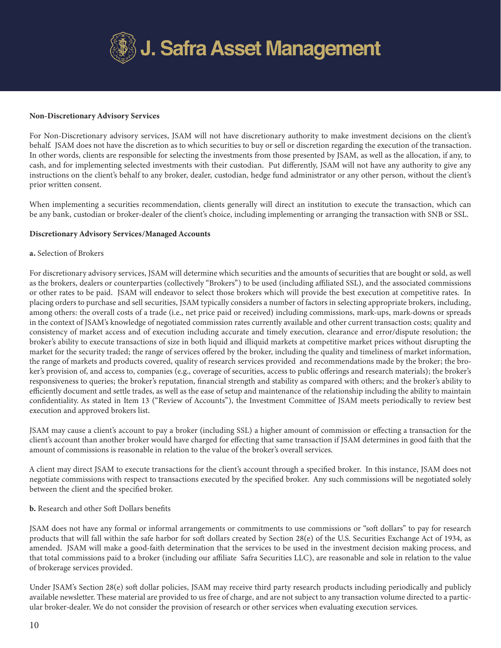

#### Non-Discretionary Advisory Services

For Non-Discretionary advisory services, JSAM will not have discretionary authority to make investment decisions on the client's behalf. JSAM does not have the discretion as to which securities to buy or sell or discretion regarding the execution of the transaction. In other words, clients are responsible for selecting the investments from those presented by JSAM, as well as the allocation, if any, to cash, and for implementing selected investments with their custodian. Put differently, JSAM will not have any authority to give any instructions on the client's behalf to any broker, dealer, custodian, hedge fund administrator or any other person, without the client's prior written consent.

When implementing a securities recommendation, clients generally will direct an institution to execute the transaction, which can be any bank, custodian or broker-dealer of the client's choice, including implementing or arranging the transaction with SNB or SSL.

#### Discretionary Advisory Services/Managed Accounts

#### a. Selection of Brokers

For discretionary advisory services, JSAM will determine which securities and the amounts of securities that are bought or sold, as well as the brokers, dealers or counterparties (collectively "Brokers") to be used (including affiliated SSL), and the associated commissions or other rates to be paid. JSAM will endeavor to select those brokers which will provide the best execution at competitive rates. In placing orders to purchase and sell securities, JSAM typically considers a number of factors in selecting appropriate brokers, including, among others: the overall costs of a trade (i.e., net price paid or received) including commissions, mark-ups, mark-downs or spreads in the context of JSAM's knowledge of negotiated commission rates currently available and other current transaction costs; quality and consistency of market access and of execution including accurate and timely execution, clearance and error/dispute resolution; the broker's ability to execute transactions of size in both liquid and illiquid markets at competitive market prices without disrupting the market for the security traded; the range of services offered by the broker, including the quality and timeliness of market information, the range of markets and products covered, quality of research services provided and recommendations made by the broker; the broker's provision of, and access to, companies (e.g., coverage of securities, access to public offerings and research materials); the broker's responsiveness to queries; the broker's reputation, financial strength and stability as compared with others; and the broker's ability to efficiently document and settle trades, as well as the ease of setup and maintenance of the relationship including the ability to maintain confidentiality. As stated in Item 13 ("Review of Accounts"), the Investment Committee of JSAM meets periodically to review best execution and approved brokers list.

JSAM may cause a client's account to pay a broker (including SSL) a higher amount of commission or effecting a transaction for the client's account than another broker would have charged for effecting that same transaction if JSAM determines in good faith that the amount of commissions is reasonable in relation to the value of the broker's overall services.

A client may direct JSAM to execute transactions for the client's account through a specified broker. In this instance, JSAM does not negotiate commissions with respect to transactions executed by the specified broker. Any such commissions will be negotiated solely between the client and the specified broker.

## b. Research and other Soft Dollars benefits

JSAM does not have any formal or informal arrangements or commitments to use commissions or "soft dollars" to pay for research products that will fall within the safe harbor for soft dollars created by Section 28(e) of the U.S. Securities Exchange Act of 1934, as amended. JSAM will make a good-faith determination that the services to be used in the investment decision making process, and that total commissions paid to a broker (including our affiliate Safra Securities LLC), are reasonable and sole in relation to the value of brokerage services provided.

Under JSAM's Section 28(e) soft dollar policies, JSAM may receive third party research products including periodically and publicly available newsletter. These material are provided to us free of charge, and are not subject to any transaction volume directed to a particular broker-dealer. We do not consider the provision of research or other services when evaluating execution services.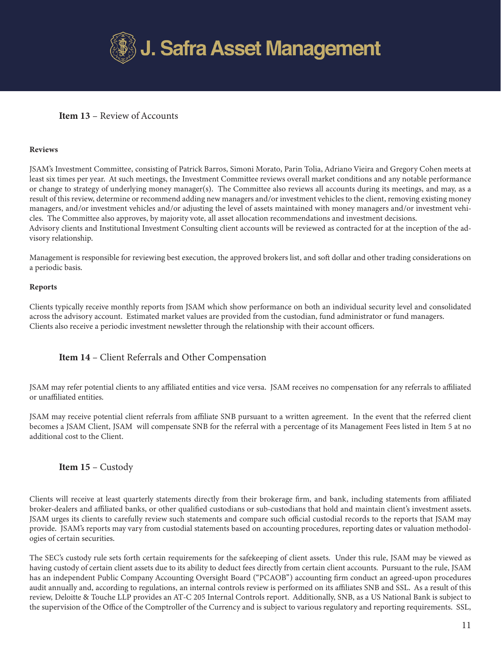

# Item 13 – Review of Accounts

#### Reviews

JSAM's Investment Committee, consisting of Patrick Barros, Simoni Morato, Parin Tolia, Adriano Vieira and Gregory Cohen meets at least six times per year. At such meetings, the Investment Committee reviews overall market conditions and any notable performance or change to strategy of underlying money manager(s). The Committee also reviews all accounts during its meetings, and may, as a result of this review, determine or recommend adding new managers and/or investment vehicles to the client, removing existing money managers, and/or investment vehicles and/or adjusting the level of assets maintained with money managers and/or investment vehicles. The Committee also approves, by majority vote, all asset allocation recommendations and investment decisions. Advisory clients and Institutional Investment Consulting client accounts will be reviewed as contracted for at the inception of the advisory relationship.

Management is responsible for reviewing best execution, the approved brokers list, and soft dollar and other trading considerations on a periodic basis.

#### Reports

Clients typically receive monthly reports from JSAM which show performance on both an individual security level and consolidated across the advisory account. Estimated market values are provided from the custodian, fund administrator or fund managers. Clients also receive a periodic investment newsletter through the relationship with their account officers.

## Item 14 – Client Referrals and Other Compensation

JSAM may refer potential clients to any affiliated entities and vice versa. JSAM receives no compensation for any referrals to affiliated or unaffiliated entities.

JSAM may receive potential client referrals from affiliate SNB pursuant to a written agreement. In the event that the referred client becomes a JSAM Client, JSAM will compensate SNB for the referral with a percentage of its Management Fees listed in Item 5 at no additional cost to the Client.

## Item 15 – Custody

Clients will receive at least quarterly statements directly from their brokerage firm, and bank, including statements from affiliated broker-dealers and affiliated banks, or other qualified custodians or sub-custodians that hold and maintain client's investment assets. JSAM urges its clients to carefully review such statements and compare such official custodial records to the reports that JSAM may provide. JSAM's reports may vary from custodial statements based on accounting procedures, reporting dates or valuation methodologies of certain securities.

The SEC's custody rule sets forth certain requirements for the safekeeping of client assets. Under this rule, JSAM may be viewed as having custody of certain client assets due to its ability to deduct fees directly from certain client accounts. Pursuant to the rule, JSAM has an independent Public Company Accounting Oversight Board ("PCAOB") accounting firm conduct an agreed-upon procedures audit annually and, according to regulations, an internal controls review is performed on its affiliates SNB and SSL. As a result of this review, Deloitte & Touche LLP provides an AT-C 205 Internal Controls report. Additionally, SNB, as a US National Bank is subject to the supervision of the Office of the Comptroller of the Currency and is subject to various regulatory and reporting requirements. SSL,